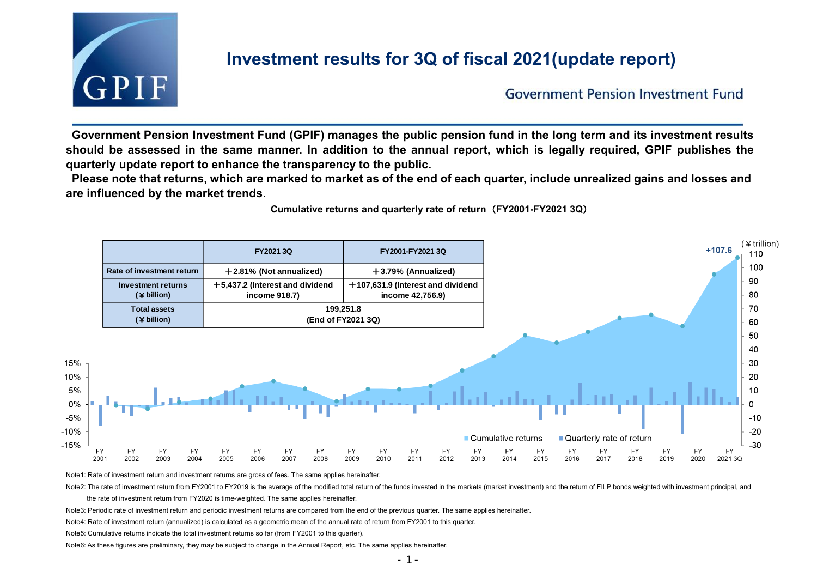

# **Investment results for 3Q of fiscal 2021(update report)**

**Government Pension Investment Fund** 

**Government Pension Investment Fund (GPIF) manages the public pension fund in the long term and its investment results should be assessed in the same manner. In addition to the annual report, which is legally required, GPIF publishes the quarterly update report to enhance the transparency to the public.**

**Please note that returns, which are marked to market as of the end of each quarter, include unrealized gains and losses and are influenced by the market trends.**

**Cumulative returns and quarterly rate of return**(**FY2001-FY2021 3Q**)



Note1: Rate of investment return and investment returns are gross of fees. The same applies hereinafter.

Note2: The rate of investment return from FY2001 to FY2019 is the average of the modified total return of the funds invested in the markets (market investment) and the return of FILP bonds weighted with investment principa

the rate of investment return from FY2020 is time-weighted. The same applies hereinafter.

Note3: Periodic rate of investment return and periodic investment returns are compared from the end of the previous quarter. The same applies hereinafter.

Note4: Rate of investment return (annualized) is calculated as a geometric mean of the annual rate of return from FY2001 to this quarter.

Note5: Cumulative returns indicate the total investment returns so far (from FY2001 to this quarter).

Note6: As these figures are preliminary, they may be subject to change in the Annual Report, etc. The same applies hereinafter.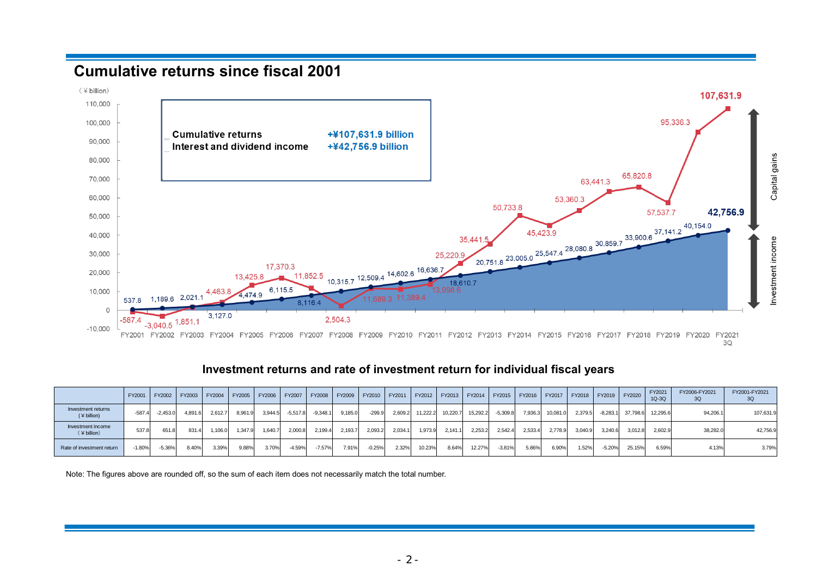### **Cumulative returns since fiscal 2001**



#### **Investment returns and rate of investment return for individual fiscal years**

| $-10,000$                                | .        | $3,040.5$ $1,001.1$ |         |         |               |         |            |            |         |          |         |                                                                              |          |          |            |         |          |         |            |          |                   |                                                                                     |                     |
|------------------------------------------|----------|---------------------|---------|---------|---------------|---------|------------|------------|---------|----------|---------|------------------------------------------------------------------------------|----------|----------|------------|---------|----------|---------|------------|----------|-------------------|-------------------------------------------------------------------------------------|---------------------|
|                                          | FY2001   | FY2002              | FY2003  |         | FY2004 FY2005 | FY2006  |            | FY2007     | FY2008  |          |         |                                                                              |          |          |            |         |          |         |            |          |                   | FY2009 FY2010 FY2011 FY2012 FY2013 FY2014 FY2015 FY2016 FY2017 FY2018 FY2019 FY2020 | FY2021<br>3Q        |
|                                          |          |                     |         |         |               |         |            |            |         |          |         |                                                                              |          |          |            |         |          |         |            |          |                   |                                                                                     |                     |
|                                          |          |                     |         |         |               |         |            |            |         |          |         | Investment returns and rate of investment return for individual fiscal years |          |          |            |         |          |         |            |          |                   |                                                                                     |                     |
|                                          | FY2001   | FY2002              | FY2003  | FY2004  | FY2005        | FY2006  | FY2007     | FY2008     | FY2009  | FY2010   | FY2011  | FY2012                                                                       | FY2013   | FY2014   | FY2015     | FY2016  | FY2017   | FY2018  | FY2019     | FY2020   | FY2021<br>$1Q-3Q$ | FY2006-FY2021<br>3Q                                                                 | FY2001-FY2021<br>3Q |
| <b>Investment returns</b><br>(Y billion) | $-587.4$ | $-2,453.0$          | 4,891.6 | 2,612.7 | 8,961.9       | 3,944.5 | $-5,517.8$ | $-9,348.1$ | 9,185.0 | $-299.9$ | 2,609.2 | 11,222.2                                                                     | 10,220.7 | 15,292.2 | $-5,309.8$ | 7,936.3 | 10,081.0 | 2,379.5 | $-8,283.1$ | 37,798.6 | 12,295.6          | 94,206.1                                                                            | 107,631.9           |
| Investment income<br>(Y billion)         | 537.8    | 651.8               | 831.4   | 1,106.0 | 1,347.9       | 1,640.7 | 2,000.8    | 2,199.4    | 2,193.7 | 2,093.2  | 2,034.1 | 1,973.9                                                                      | 2,141.1  | 2,253.2  | 2,542.4    | 2,533.4 | 2,778.9  | 3,040.9 | 3,240.6    | 3,012.8  | 2,602.9           | 38,282.0                                                                            | 42,756.9            |
| Rate of investment return                | $-1.80%$ | $-5.36%$            | 8.40%   | 3.39%   | 9.88%         | 3.70%   | $-4.59%$   | $-7.57%$   | 7.91%   | $-0.25%$ | 2.32%   | 10.23%                                                                       | 8.64%    | 12.27%   | $-3.81%$   | 5.86%   | 6.90%    | 1.52%   | $-5.20%$   | 25.15%   | 6.59%             | 4.13%                                                                               | 3.79%               |
|                                          |          |                     |         |         |               |         |            |            |         |          |         |                                                                              |          |          |            |         |          |         |            |          |                   |                                                                                     |                     |

Note: The figures above are rounded off, so the sum of each item does not necessarily match the total number.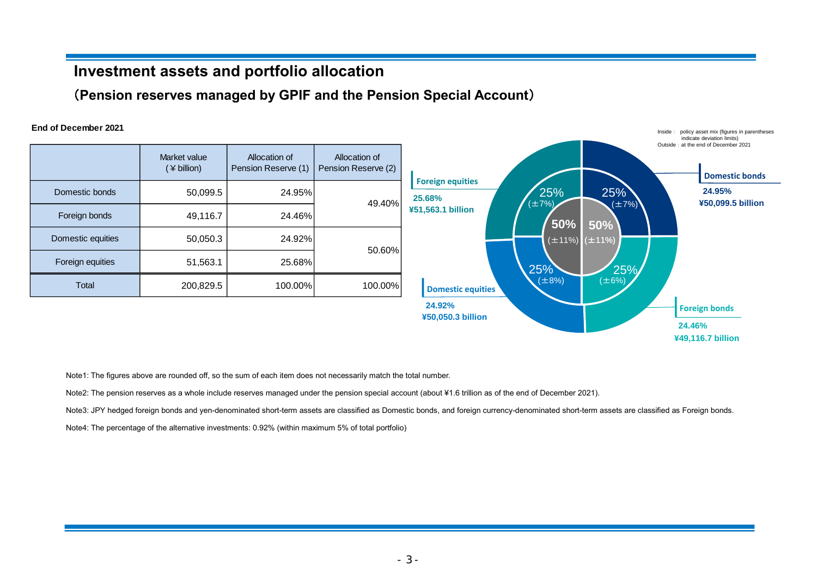### **Investment assets and portfolio allocation**

(**Pension reserves managed by GPIF and the Pension Special Account**)

#### **End of December 2021**

|                   | Market value<br>(¥ billion) | Allocation of<br>Pension Reserve (1) | Allocation of<br>Pension Reserve (2) |                                  |
|-------------------|-----------------------------|--------------------------------------|--------------------------------------|----------------------------------|
| Domestic bonds    | 50,099.5                    | 24.95%                               | 49.40%                               | <b>Foreign equitie</b><br>25.68% |
| Foreign bonds     | 49,116.7                    | 24.46%                               |                                      | ¥51,563.1 billion                |
| Domestic equities | 50,050.3                    | 24.92%                               | 50.60%                               |                                  |
| Foreign equities  | 51,563.1                    | 25.68%                               |                                      |                                  |
| Total             | 200,829.5                   | 100.00%                              | 100.00%                              | <b>Domestic ed</b>               |



Note1: The figures above are rounded off, so the sum of each item does not necessarily match the total number.

Note2: The pension reserves as a whole include reserves managed under the pension special account (about ¥1.6 trillion as of the end of December 2021).

Note3: JPY hedged foreign bonds and yen-denominated short-term assets are classified as Domestic bonds, and foreign currency-denominated short-term assets are classified as Foreign bonds.

Note4: The percentage of the alternative investments: 0.92% (within maximum 5% of total portfolio)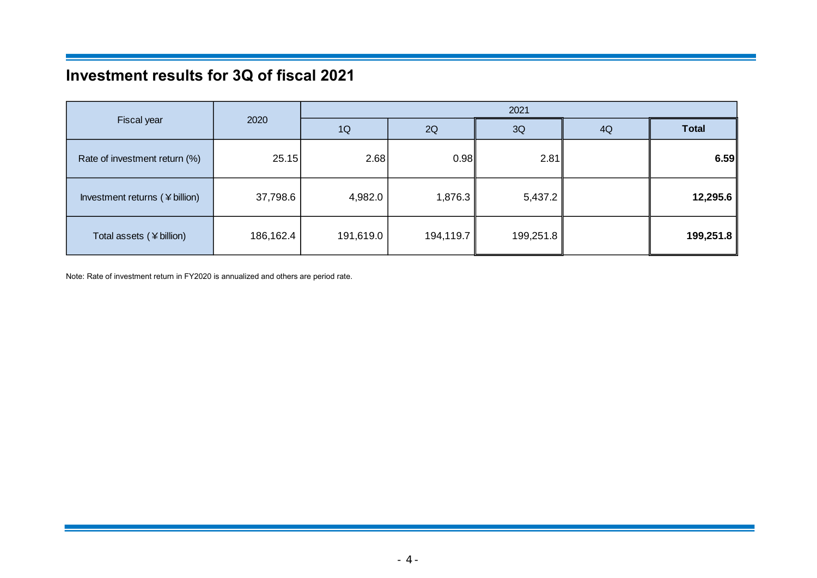# **Investment results for 3Q of fiscal 2021**

|                                |           | 2021      |           |           |    |              |  |  |  |  |
|--------------------------------|-----------|-----------|-----------|-----------|----|--------------|--|--|--|--|
| Fiscal year                    | 2020      | 1Q        | 2Q        | 3Q        | 4Q | <b>Total</b> |  |  |  |  |
| Rate of investment return (%)  | 25.15     | 2.68      | 0.98      | 2.81      |    | 6.59         |  |  |  |  |
| Investment returns (¥ billion) | 37,798.6  | 4,982.0   | 1,876.3   | 5,437.2   |    | 12,295.6     |  |  |  |  |
| Total assets (¥ billion)       | 186,162.4 | 191,619.0 | 194,119.7 | 199,251.8 |    | 199,251.8    |  |  |  |  |

Note: Rate of investment return in FY2020 is annualized and others are period rate.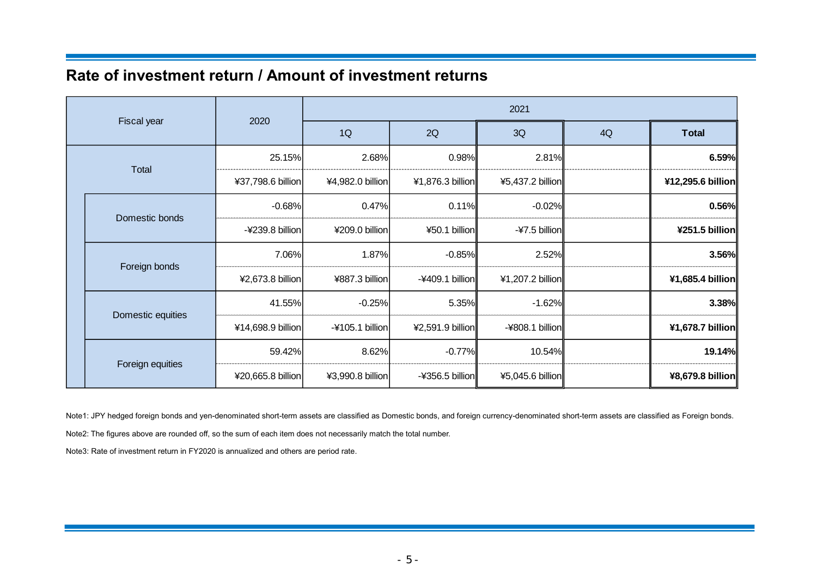### **Rate of investment return / Amount of investment returns**

| Fiscal year |                   |                   | 2021              |                   |                  |    |                   |  |  |  |  |
|-------------|-------------------|-------------------|-------------------|-------------------|------------------|----|-------------------|--|--|--|--|
|             |                   | 2020              | 1Q                | 2Q                | 3Q               | 4Q | <b>Total</b>      |  |  |  |  |
|             |                   | 25.15%            | 2.68%             | 0.98%             | 2.81%            |    | 6.59%             |  |  |  |  |
|             | Total             | ¥37,798.6 billion | ¥4,982.0 billion  | ¥1,876.3 billion  | ¥5,437.2 billion |    | ¥12,295.6 billion |  |  |  |  |
|             | Domestic bonds    | $-0.68%$          | 0.47%             | 0.11%             | $-0.02%$         |    | 0.56%             |  |  |  |  |
|             |                   | -¥239.8 billion   | ¥209.0 billion    | ¥50.1 billion     | $-47.5$ billion  |    | ¥251.5 billion    |  |  |  |  |
|             | Foreign bonds     | 7.06%             | 1.87%             | $-0.85%$          | 2.52%            |    | 3.56%             |  |  |  |  |
|             |                   | ¥2,673.8 billion  | ¥887.3 billion    | $-4409.1$ billion | ¥1,207.2 billion |    | ¥1,685.4 billion  |  |  |  |  |
|             | Domestic equities | 41.55%            | $-0.25%$          | 5.35%             | $-1.62%$         |    | 3.38%             |  |  |  |  |
|             |                   | ¥14,698.9 billion | $-4105.1$ billion | ¥2,591.9 billion  | -¥808.1 billion  |    | ¥1,678.7 billion  |  |  |  |  |
|             |                   | 59.42%            | 8.62%             | $-0.77%$          | 10.54%           |    | 19.14%            |  |  |  |  |
|             | Foreign equities  | ¥20,665.8 billion | ¥3,990.8 billion  | $-4356.5$ billion | ¥5,045.6 billion |    | ¥8,679.8 billion  |  |  |  |  |

Note1: JPY hedged foreign bonds and yen-denominated short-term assets are classified as Domestic bonds, and foreign currency-denominated short-term assets are classified as Foreign bonds.

Note2: The figures above are rounded off, so the sum of each item does not necessarily match the total number.

Note3: Rate of investment return in FY2020 is annualized and others are period rate.